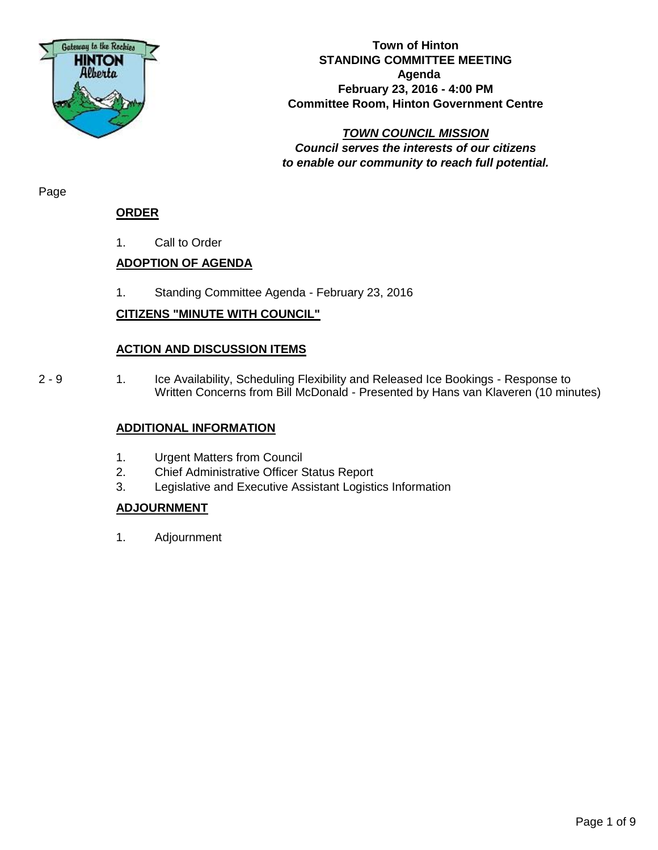

#### **Town of Hinton STANDING COMMITTEE MEETING Agenda February 23, 2016 - 4:00 PM Committee Room, Hinton Government Centre**

*TOWN COUNCIL MISSION Council serves the interests of our citizens to enable our community to reach full potential.*

Page

## **ORDER**

1. Call to Order

# **ADOPTION OF AGENDA**

1. Standing Committee Agenda - February 23, 2016

## **CITIZENS "MINUTE WITH COUNCIL"**

## **ACTION AND DISCUSSION ITEMS**

2 - 9 1. Ice Availability, Scheduling Flexibility and Released Ice Bookings - Response to Written Concerns from Bill McDonald - Presented by Hans van Klaveren (10 minutes)

#### **ADDITIONAL INFORMATION**

- 1. Urgent Matters from Council
- 2. Chief Administrative Officer Status Report
- 3. Legislative and Executive Assistant Logistics Information

#### **ADJOURNMENT**

1. Adjournment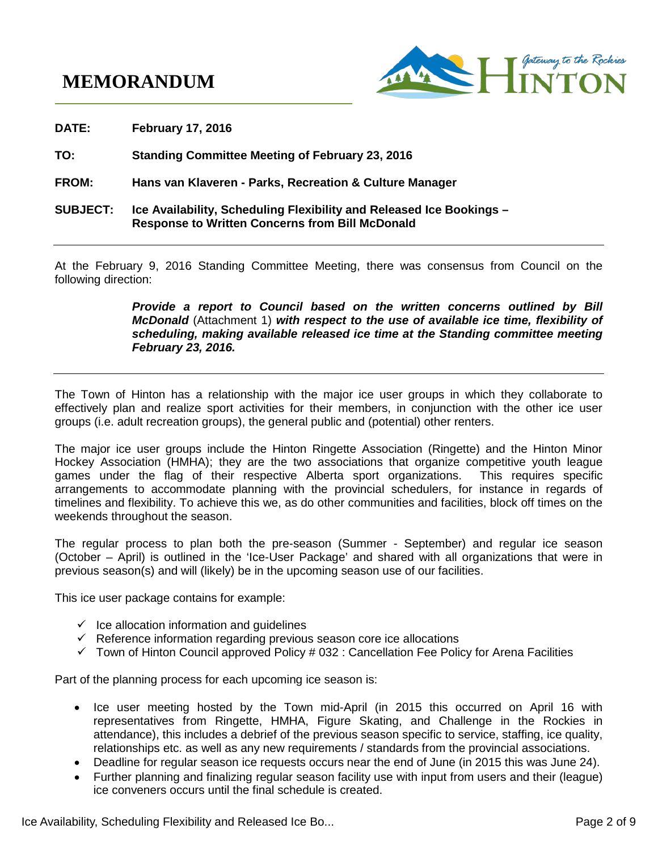# **MEMORANDUM**



**DATE: February 17, 2016 TO: Standing Committee Meeting of February 23, 2016 FROM: Hans van Klaveren - Parks, Recreation & Culture Manager SUBJECT: Ice Availability, Scheduling Flexibility and Released Ice Bookings – Response to Written Concerns from Bill McDonald**

At the February 9, 2016 Standing Committee Meeting, there was consensus from Council on the following direction:

> *Provide a report to Council based on the written concerns outlined by Bill McDonald* (Attachment 1) *with respect to the use of available ice time, flexibility of scheduling, making available released ice time at the Standing committee meeting February 23, 2016.*

The Town of Hinton has a relationship with the major ice user groups in which they collaborate to effectively plan and realize sport activities for their members, in conjunction with the other ice user groups (i.e. adult recreation groups), the general public and (potential) other renters.

The major ice user groups include the Hinton Ringette Association (Ringette) and the Hinton Minor Hockey Association (HMHA); they are the two associations that organize competitive youth league games under the flag of their respective Alberta sport organizations. This requires specific arrangements to accommodate planning with the provincial schedulers, for instance in regards of timelines and flexibility. To achieve this we, as do other communities and facilities, block off times on the weekends throughout the season.

The regular process to plan both the pre-season (Summer - September) and regular ice season (October – April) is outlined in the 'Ice-User Package' and shared with all organizations that were in previous season(s) and will (likely) be in the upcoming season use of our facilities.

This ice user package contains for example:

- $\checkmark$  Ice allocation information and guidelines
- $\checkmark$  Reference information regarding previous season core ice allocations
- $\checkmark$  Town of Hinton Council approved Policy # 032 : Cancellation Fee Policy for Arena Facilities

Part of the planning process for each upcoming ice season is:

- Ice user meeting hosted by the Town mid-April (in 2015 this occurred on April 16 with representatives from Ringette, HMHA, Figure Skating, and Challenge in the Rockies in attendance), this includes a debrief of the previous season specific to service, staffing, ice quality, relationships etc. as well as any new requirements / standards from the provincial associations.
- Deadline for regular season ice requests occurs near the end of June (in 2015 this was June 24).
- Further planning and finalizing regular season facility use with input from users and their (league) ice conveners occurs until the final schedule is created.

Ice Availability, Scheduling Flexibility and Released Ice Bo... **Page 2 of 9** and 2 of 9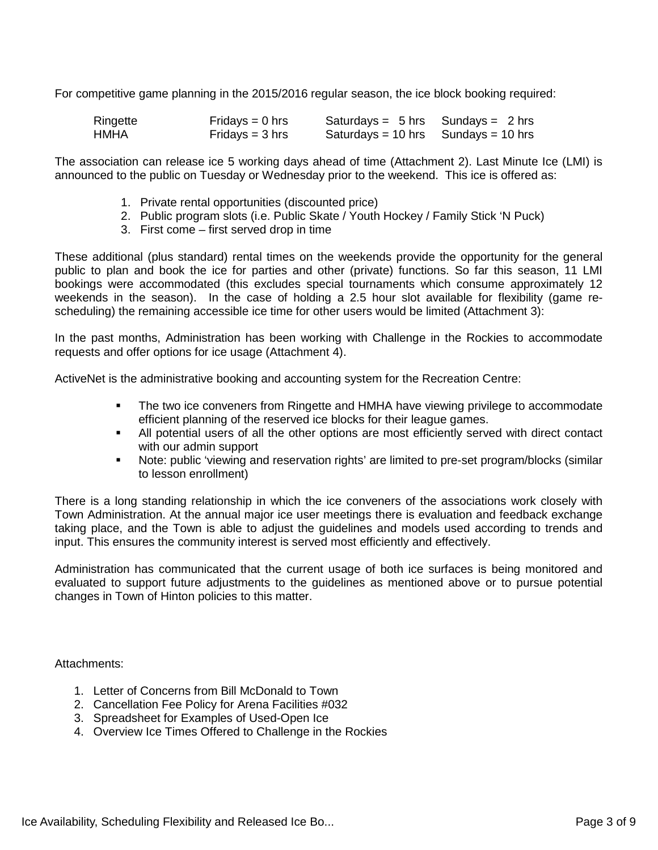For competitive game planning in the 2015/2016 regular season, the ice block booking required:

| Ringette | Fridays = $0$ hrs | Saturdays = $5 \text{ hrs}$ Sundays = $2 \text{ hrs}$ |  |
|----------|-------------------|-------------------------------------------------------|--|
| HMHA     | Fridays = $3$ hrs | Saturdays = 10 hrs Sundays = 10 hrs                   |  |

The association can release ice 5 working days ahead of time (Attachment 2). Last Minute Ice (LMI) is announced to the public on Tuesday or Wednesday prior to the weekend. This ice is offered as:

- 1. Private rental opportunities (discounted price)
- 2. Public program slots (i.e. Public Skate / Youth Hockey / Family Stick 'N Puck)
- 3. First come first served drop in time

These additional (plus standard) rental times on the weekends provide the opportunity for the general public to plan and book the ice for parties and other (private) functions. So far this season, 11 LMI bookings were accommodated (this excludes special tournaments which consume approximately 12 weekends in the season). In the case of holding a 2.5 hour slot available for flexibility (game rescheduling) the remaining accessible ice time for other users would be limited (Attachment 3):

In the past months, Administration has been working with Challenge in the Rockies to accommodate requests and offer options for ice usage (Attachment 4).

ActiveNet is the administrative booking and accounting system for the Recreation Centre:

- **The two ice conveners from Ringette and HMHA have viewing privilege to accommodate** efficient planning of the reserved ice blocks for their league games.
- All potential users of all the other options are most efficiently served with direct contact with our admin support
- Note: public 'viewing and reservation rights' are limited to pre-set program/blocks (similar to lesson enrollment)

There is a long standing relationship in which the ice conveners of the associations work closely with Town Administration. At the annual major ice user meetings there is evaluation and feedback exchange taking place, and the Town is able to adjust the guidelines and models used according to trends and input. This ensures the community interest is served most efficiently and effectively.

Administration has communicated that the current usage of both ice surfaces is being monitored and evaluated to support future adjustments to the guidelines as mentioned above or to pursue potential changes in Town of Hinton policies to this matter.

Attachments:

- 1. Letter of Concerns from Bill McDonald to Town
- 2. Cancellation Fee Policy for Arena Facilities #032
- 3. Spreadsheet for Examples of Used-Open Ice
- 4. Overview Ice Times Offered to Challenge in the Rockies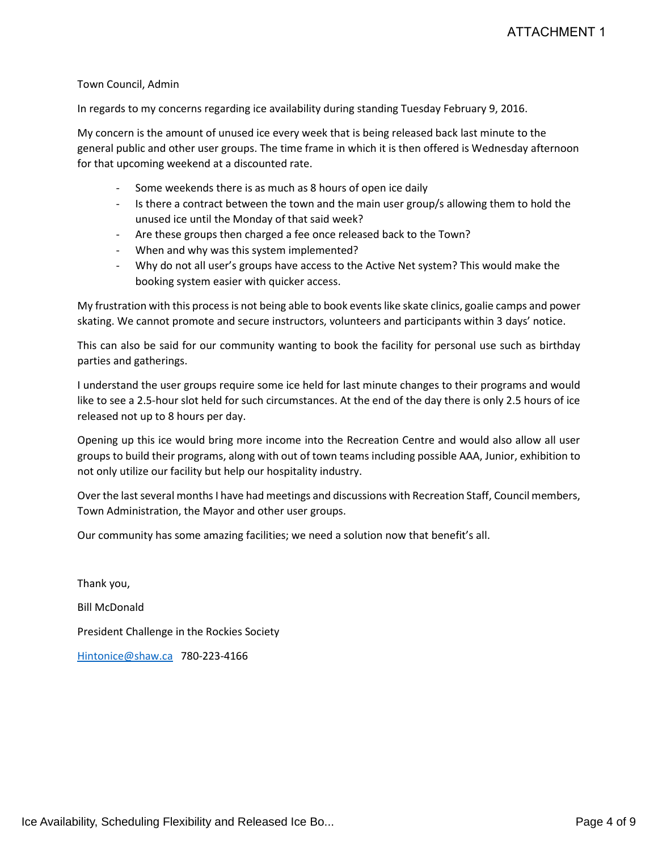#### Town Council, Admin

In regards to my concerns regarding ice availability during standing Tuesday February 9, 2016.

My concern is the amount of unused ice every week that is being released back last minute to the general public and other user groups. The time frame in which it is then offered is Wednesday afternoon for that upcoming weekend at a discounted rate.

- Some weekends there is as much as 8 hours of open ice daily
- Is there a contract between the town and the main user group/s allowing them to hold the unused ice until the Monday of that said week?
- Are these groups then charged a fee once released back to the Town?
- When and why was this system implemented?
- Why do not all user's groups have access to the Active Net system? This would make the booking system easier with quicker access.

My frustration with this process is not being able to book events like skate clinics, goalie camps and power skating. We cannot promote and secure instructors, volunteers and participants within 3 days' notice.

This can also be said for our community wanting to book the facility for personal use such as birthday parties and gatherings.

I understand the user groups require some ice held for last minute changes to their programs and would like to see a 2.5-hour slot held for such circumstances. At the end of the day there is only 2.5 hours of ice released not up to 8 hours per day.

Opening up this ice would bring more income into the Recreation Centre and would also allow all user groups to build their programs, along with out of town teams including possible AAA, Junior, exhibition to not only utilize our facility but help our hospitality industry.

Over the last several months I have had meetings and discussions with Recreation Staff, Council members, Town Administration, the Mayor and other user groups.

Our community has some amazing facilities; we need a solution now that benefit's all.

Thank you, Bill McDonald President Challenge in the Rockies Society [Hintonice@shaw.ca](mailto:Hintonice@shaw.ca) 780-223-4166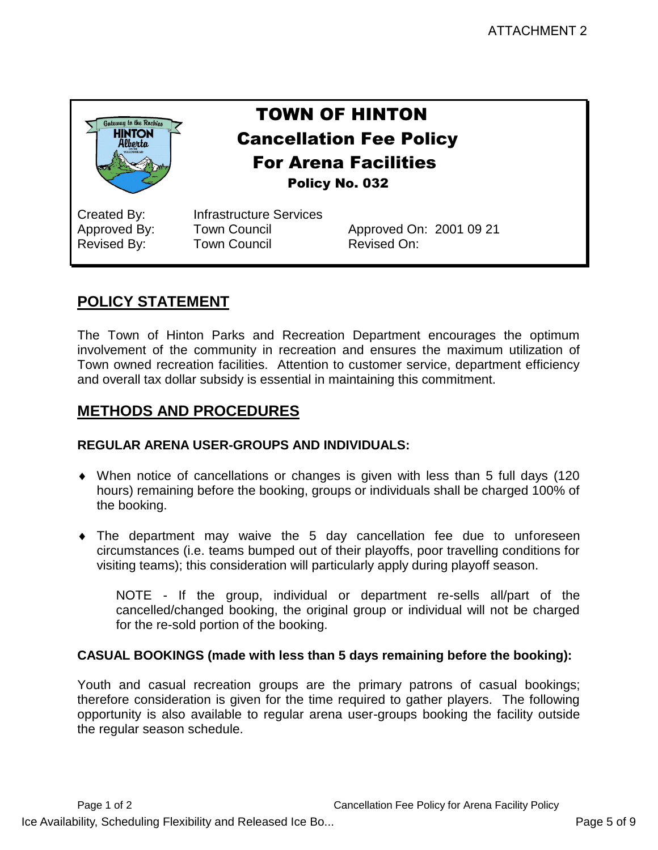

# TOWN OF HINTON Cancellation Fee Policy For Arena Facilities Policy No. 032

Created By: Infrastructure Services Revised By: Town Council Revised On:

Approved By: Town Council Approved On: 2001 09 21

# **POLICY STATEMENT**

The Town of Hinton Parks and Recreation Department encourages the optimum involvement of the community in recreation and ensures the maximum utilization of Town owned recreation facilities. Attention to customer service, department efficiency and overall tax dollar subsidy is essential in maintaining this commitment.

# **METHODS AND PROCEDURES**

# **REGULAR ARENA USER-GROUPS AND INDIVIDUALS:**

- When notice of cancellations or changes is given with less than 5 full days (120 hours) remaining before the booking, groups or individuals shall be charged 100% of the booking.
- The department may waive the 5 day cancellation fee due to unforeseen circumstances (i.e. teams bumped out of their playoffs, poor travelling conditions for visiting teams); this consideration will particularly apply during playoff season.

NOTE - If the group, individual or department re-sells all/part of the cancelled/changed booking, the original group or individual will not be charged for the re-sold portion of the booking.

# **CASUAL BOOKINGS (made with less than 5 days remaining before the booking):**

Youth and casual recreation groups are the primary patrons of casual bookings; therefore consideration is given for the time required to gather players. The following opportunity is also available to regular arena user-groups booking the facility outside the regular season schedule.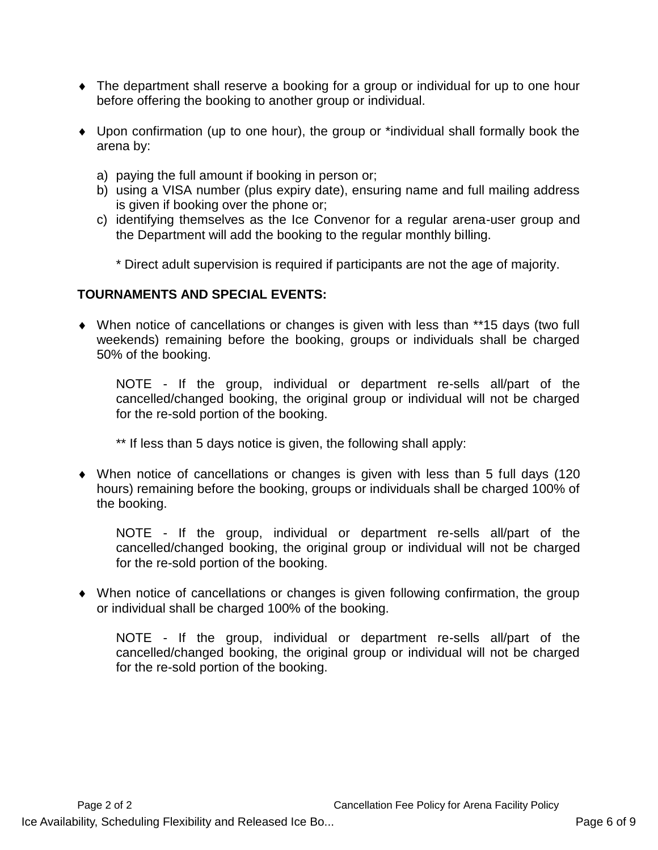- The department shall reserve a booking for a group or individual for up to one hour before offering the booking to another group or individual.
- Upon confirmation (up to one hour), the group or \*individual shall formally book the arena by:
	- a) paying the full amount if booking in person or;
	- b) using a VISA number (plus expiry date), ensuring name and full mailing address is given if booking over the phone or;
	- c) identifying themselves as the Ice Convenor for a regular arena-user group and the Department will add the booking to the regular monthly billing.

\* Direct adult supervision is required if participants are not the age of majority.

## **TOURNAMENTS AND SPECIAL EVENTS:**

 When notice of cancellations or changes is given with less than \*\*15 days (two full weekends) remaining before the booking, groups or individuals shall be charged 50% of the booking.

NOTE - If the group, individual or department re-sells all/part of the cancelled/changed booking, the original group or individual will not be charged for the re-sold portion of the booking.

\*\* If less than 5 days notice is given, the following shall apply:

 When notice of cancellations or changes is given with less than 5 full days (120 hours) remaining before the booking, groups or individuals shall be charged 100% of the booking.

NOTE - If the group, individual or department re-sells all/part of the cancelled/changed booking, the original group or individual will not be charged for the re-sold portion of the booking.

 When notice of cancellations or changes is given following confirmation, the group or individual shall be charged 100% of the booking.

NOTE - If the group, individual or department re-sells all/part of the cancelled/changed booking, the original group or individual will not be charged for the re-sold portion of the booking.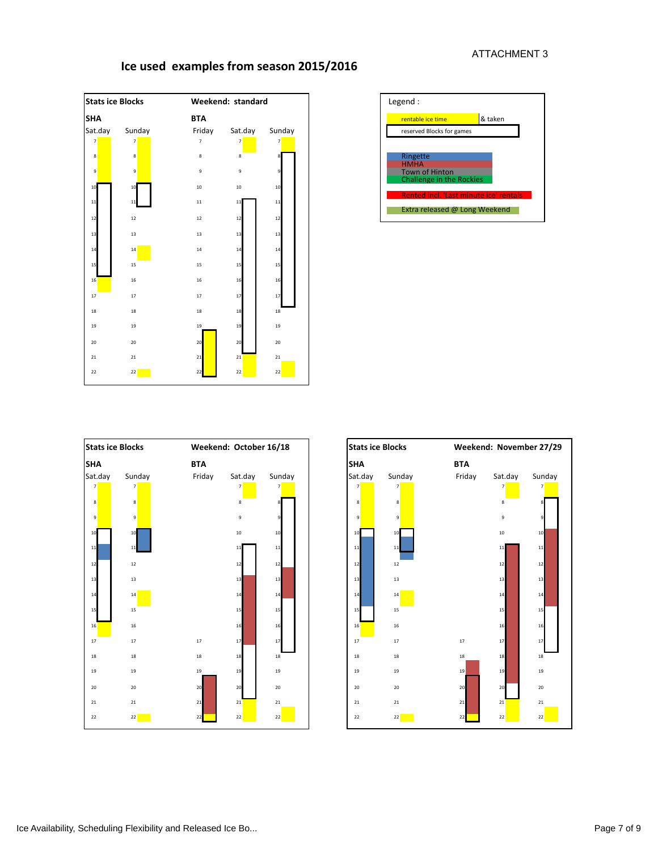# **Ice used examples from season 2015/2016**







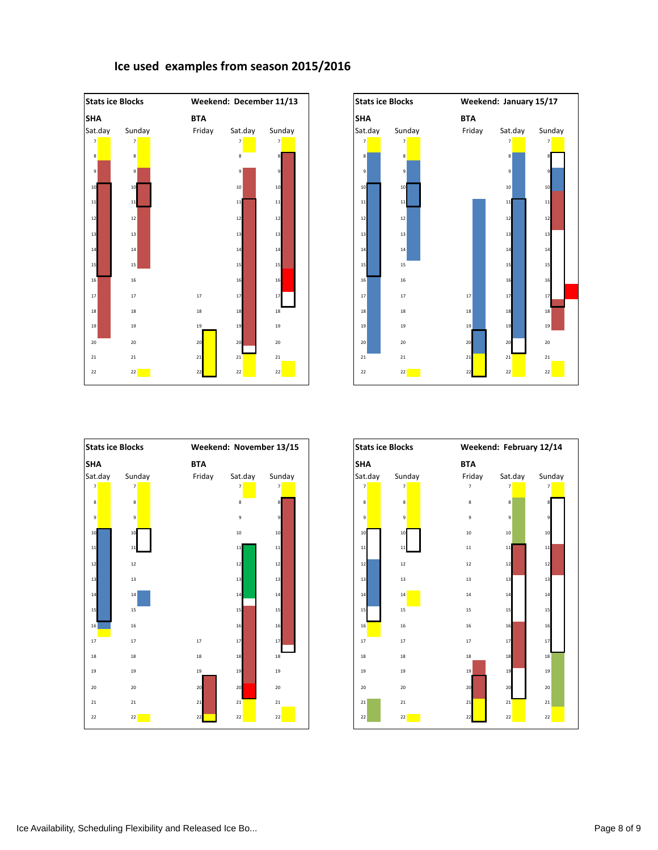







# **Ice used examples from season 2015/2016**